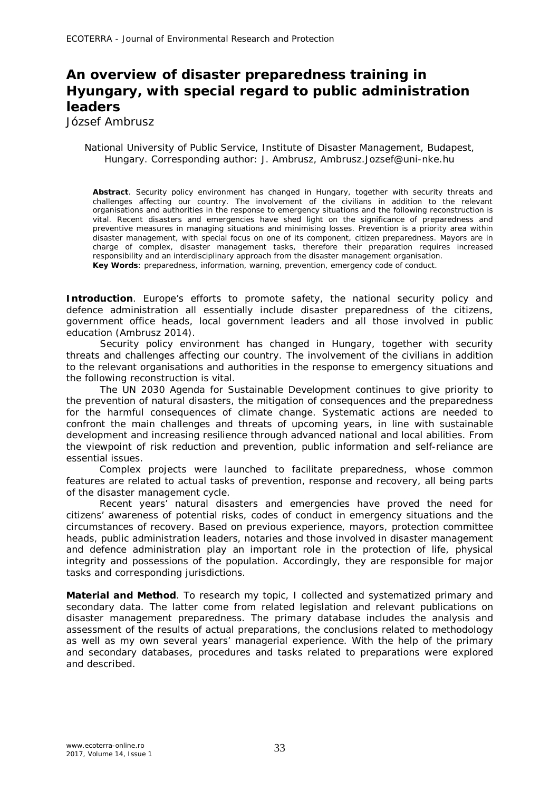## **An overview of disaster preparedness training in Hyungary, with special regard to public administration leaders**

József Ambrusz

## National University of Public Service, Institute of Disaster Management, Budapest, Hungary. Corresponding author: J. Ambrusz, Ambrusz.Jozsef@uni-nke.hu

**Abstract**. Security policy environment has changed in Hungary, together with security threats and challenges affecting our country. The involvement of the civilians in addition to the relevant organisations and authorities in the response to emergency situations and the following reconstruction is vital. Recent disasters and emergencies have shed light on the significance of preparedness and preventive measures in managing situations and minimising losses. Prevention is a priority area within disaster management, with special focus on one of its component, citizen preparedness. Mayors are in charge of complex, disaster management tasks, therefore their preparation requires increased responsibility and an interdisciplinary approach from the disaster management organisation. **Key Words**: preparedness, information, warning, prevention, emergency code of conduct.

**Introduction**. Europe's efforts to promote safety, the national security policy and defence administration all essentially include disaster preparedness of the citizens, government office heads, local government leaders and all those involved in public education (Ambrusz 2014).

Security policy environment has changed in Hungary, together with security threats and challenges affecting our country. The involvement of the civilians in addition to the relevant organisations and authorities in the response to emergency situations and the following reconstruction is vital.

The UN 2030 Agenda for Sustainable Development continues to give priority to the prevention of natural disasters, the mitigation of consequences and the preparedness for the harmful consequences of climate change. Systematic actions are needed to confront the main challenges and threats of upcoming years, in line with sustainable development and increasing resilience through advanced national and local abilities. From the viewpoint of risk reduction and prevention, public information and self-reliance are essential issues.

Complex projects were launched to facilitate preparedness, whose common features are related to actual tasks of prevention, response and recovery, all being parts of the disaster management cycle.

Recent years' natural disasters and emergencies have proved the need for citizens' awareness of potential risks, codes of conduct in emergency situations and the circumstances of recovery. Based on previous experience, mayors, protection committee heads, public administration leaders, notaries and those involved in disaster management and defence administration play an important role in the protection of life, physical integrity and possessions of the population. Accordingly, they are responsible for major tasks and corresponding jurisdictions.

**Material and Method***.* To research my topic, I collected and systematized primary and secondary data. The latter come from related legislation and relevant publications on disaster management preparedness. The primary database includes the analysis and assessment of the results of actual preparations, the conclusions related to methodology as well as my own several years' managerial experience. With the help of the primary and secondary databases, procedures and tasks related to preparations were explored and described.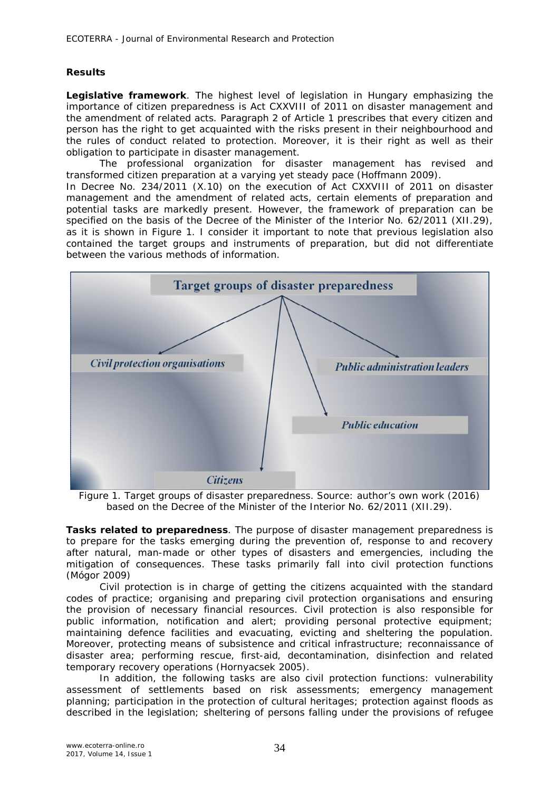## **Results**

*Legislative framework.* The highest level of legislation in Hungary emphasizing the importance of citizen preparedness is Act CXXVIII of 2011 on disaster management and the amendment of related acts. Paragraph 2 of Article 1 prescribes that every citizen and person has the right to get acquainted with the risks present in their neighbourhood and the rules of conduct related to protection. Moreover, it is their right as well as their obligation to participate in disaster management.

The professional organization for disaster management has revised and transformed citizen preparation at a varying yet steady pace (Hoffmann 2009).

In Decree No. 234/2011 (X.10) on the execution of Act CXXVIII of 2011 on disaster management and the amendment of related acts, certain elements of preparation and potential tasks are markedly present. However, the framework of preparation can be specified on the basis of the Decree of the Minister of the Interior No. 62/2011 (XII.29), as it is shown in Figure 1. I consider it important to note that previous legislation also contained the target groups and instruments of preparation, but did not differentiate between the various methods of information.



Figure 1. Target groups of disaster preparedness. Source: author's own work (2016) based on the Decree of the Minister of the Interior No. 62/2011 (XII.29).

*Tasks related to preparedness.* The purpose of disaster management preparedness is to prepare for the tasks emerging during the prevention of, response to and recovery after natural, man-made or other types of disasters and emergencies, including the mitigation of consequences. These tasks primarily fall into civil protection functions (Mógor 2009)

Civil protection is in charge of getting the citizens acquainted with the standard codes of practice; organising and preparing civil protection organisations and ensuring the provision of necessary financial resources. Civil protection is also responsible for public information, notification and alert; providing personal protective equipment; maintaining defence facilities and evacuating, evicting and sheltering the population. Moreover, protecting means of subsistence and critical infrastructure; reconnaissance of disaster area; performing rescue, first-aid, decontamination, disinfection and related temporary recovery operations (Hornyacsek 2005).

In addition, the following tasks are also civil protection functions: vulnerability assessment of settlements based on risk assessments; emergency management planning; participation in the protection of cultural heritages; protection against floods as described in the legislation; sheltering of persons falling under the provisions of refugee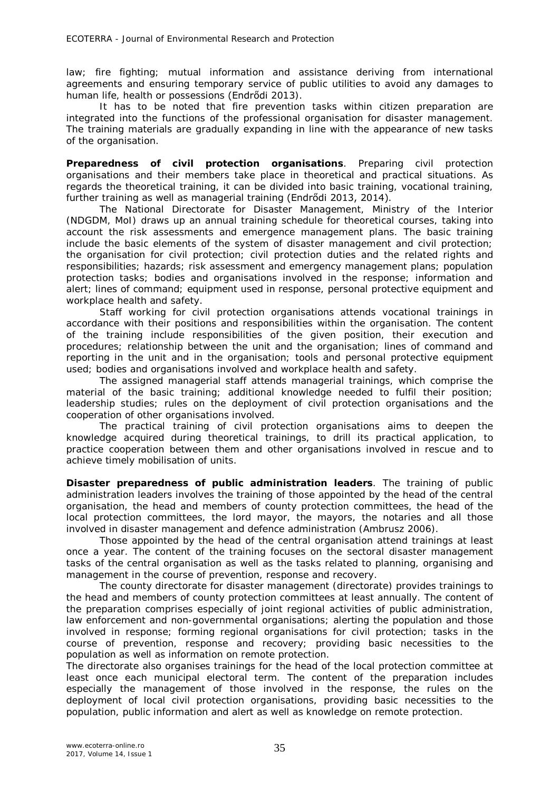law; fire fighting; mutual information and assistance deriving from international agreements and ensuring temporary service of public utilities to avoid any damages to human life, health or possessions (Endrődi 2013).

It has to be noted that fire prevention tasks within citizen preparation are integrated into the functions of the professional organisation for disaster management. The training materials are gradually expanding in line with the appearance of new tasks of the organisation.

*Preparedness of civil protection organisations.* Preparing civil protection organisations and their members take place in theoretical and practical situations. As regards the theoretical training, it can be divided into basic training, vocational training, further training as well as managerial training (Endrődi 2013, 2014).

The National Directorate for Disaster Management, Ministry of the Interior (NDGDM, MoI) draws up an annual training schedule for theoretical courses, taking into account the risk assessments and emergence management plans. The basic training include the basic elements of the system of disaster management and civil protection; the organisation for civil protection; civil protection duties and the related rights and responsibilities; hazards; risk assessment and emergency management plans; population protection tasks; bodies and organisations involved in the response; information and alert; lines of command; equipment used in response, personal protective equipment and workplace health and safety.

Staff working for civil protection organisations attends vocational trainings in accordance with their positions and responsibilities within the organisation. The content of the training include responsibilities of the given position, their execution and procedures; relationship between the unit and the organisation; lines of command and reporting in the unit and in the organisation; tools and personal protective equipment used; bodies and organisations involved and workplace health and safety.

The assigned managerial staff attends managerial trainings, which comprise the material of the basic training; additional knowledge needed to fulfil their position; leadership studies; rules on the deployment of civil protection organisations and the cooperation of other organisations involved.

The practical training of civil protection organisations aims to deepen the knowledge acquired during theoretical trainings, to drill its practical application, to practice cooperation between them and other organisations involved in rescue and to achieve timely mobilisation of units.

*Disaster preparedness of public administration leaders.* The training of public administration leaders involves the training of those appointed by the head of the central organisation, the head and members of county protection committees, the head of the local protection committees, the lord mayor, the mayors, the notaries and all those involved in disaster management and defence administration (Ambrusz 2006).

Those appointed by the head of the central organisation attend trainings at least once a year. The content of the training focuses on the sectoral disaster management tasks of the central organisation as well as the tasks related to planning, organising and management in the course of prevention, response and recovery.

The county directorate for disaster management (directorate) provides trainings to the head and members of county protection committees at least annually. The content of the preparation comprises especially of joint regional activities of public administration, law enforcement and non-governmental organisations; alerting the population and those involved in response; forming regional organisations for civil protection; tasks in the course of prevention, response and recovery; providing basic necessities to the population as well as information on remote protection.

The directorate also organises trainings for the head of the local protection committee at least once each municipal electoral term. The content of the preparation includes especially the management of those involved in the response, the rules on the deployment of local civil protection organisations, providing basic necessities to the population, public information and alert as well as knowledge on remote protection.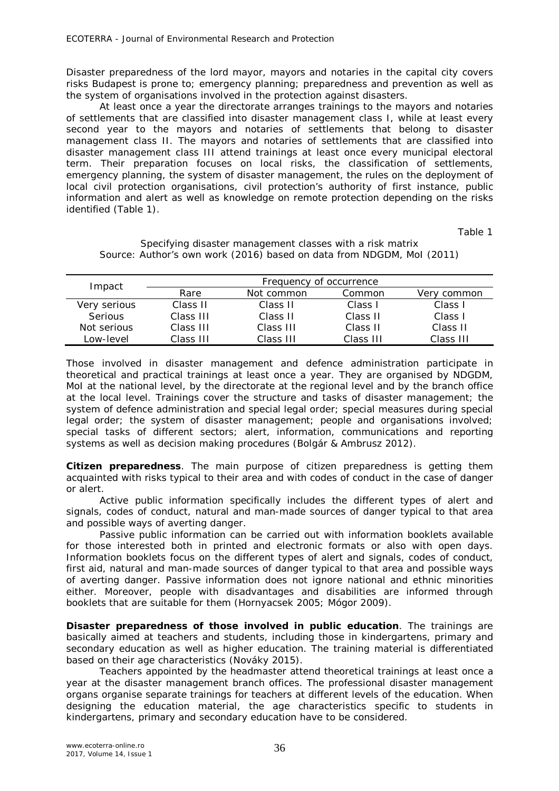Disaster preparedness of the lord mayor, mayors and notaries in the capital city covers risks Budapest is prone to; emergency planning; preparedness and prevention as well as the system of organisations involved in the protection against disasters.

At least once a year the directorate arranges trainings to the mayors and notaries of settlements that are classified into disaster management class I, while at least every second year to the mayors and notaries of settlements that belong to disaster management class II. The mayors and notaries of settlements that are classified into disaster management class III attend trainings at least once every municipal electoral term. Their preparation focuses on local risks, the classification of settlements, emergency planning, the system of disaster management, the rules on the deployment of local civil protection organisations, civil protection's authority of first instance, public information and alert as well as knowledge on remote protection depending on the risks identified (Table 1).

Table 1

| Impact         | Frequency of occurrence |            |           |             |
|----------------|-------------------------|------------|-----------|-------------|
|                | Rare                    | Not common | Common    | Very common |
| Very serious   | Class II                | Class II   | Class I   | Class I     |
| <b>Serious</b> | Class III               | Class II   | Class II  | Class I     |
| Not serious    | Class III               | Class III  | Class II  | Class II    |
| Low-level      | Class III               | Class III  | Class III | Class III   |

Specifying disaster management classes with a risk matrix Source: Author's own work (2016) based on data from NDGDM, MoI (2011)

Those involved in disaster management and defence administration participate in theoretical and practical trainings at least once a year. They are organised by NDGDM, MoI at the national level, by the directorate at the regional level and by the branch office at the local level. Trainings cover the structure and tasks of disaster management; the system of defence administration and special legal order; special measures during special legal order; the system of disaster management; people and organisations involved; special tasks of different sectors; alert, information, communications and reporting systems as well as decision making procedures (Bolgár & Ambrusz 2012).

*Citizen preparedness.* The main purpose of citizen preparedness is getting them acquainted with risks typical to their area and with codes of conduct in the case of danger or alert.

Active public information specifically includes the different types of alert and signals, codes of conduct, natural and man-made sources of danger typical to that area and possible ways of averting danger.

Passive public information can be carried out with information booklets available for those interested both in printed and electronic formats or also with open days. Information booklets focus on the different types of alert and signals, codes of conduct, first aid, natural and man-made sources of danger typical to that area and possible ways of averting danger. Passive information does not ignore national and ethnic minorities either. Moreover, people with disadvantages and disabilities are informed through booklets that are suitable for them (Hornyacsek 2005; Mógor 2009).

*Disaster preparedness of those involved in public education.* The trainings are basically aimed at teachers and students, including those in kindergartens, primary and secondary education as well as higher education. The training material is differentiated based on their age characteristics (Nováky 2015).

Teachers appointed by the headmaster attend theoretical trainings at least once a year at the disaster management branch offices. The professional disaster management organs organise separate trainings for teachers at different levels of the education. When designing the education material, the age characteristics specific to students in kindergartens, primary and secondary education have to be considered.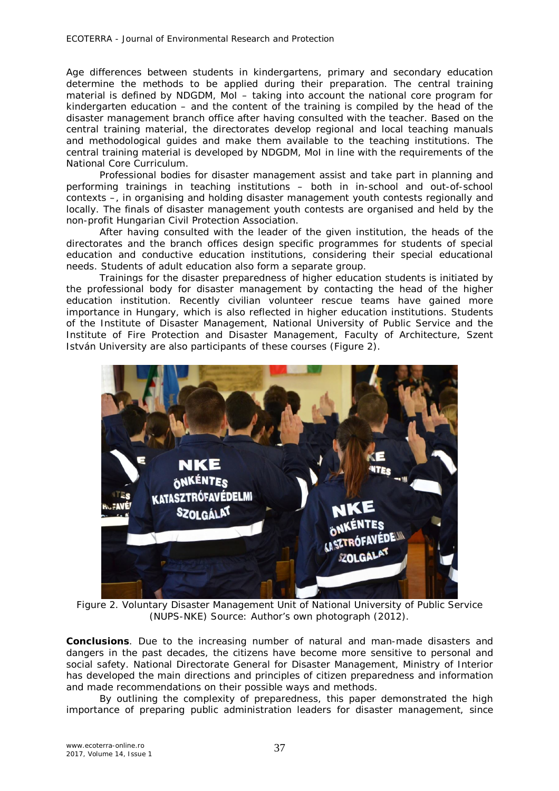Age differences between students in kindergartens, primary and secondary education determine the methods to be applied during their preparation. The central training material is defined by NDGDM, MoI – taking into account the national core program for kindergarten education – and the content of the training is compiled by the head of the disaster management branch office after having consulted with the teacher. Based on the central training material, the directorates develop regional and local teaching manuals and methodological guides and make them available to the teaching institutions. The central training material is developed by NDGDM, MoI in line with the requirements of the National Core Curriculum.

Professional bodies for disaster management assist and take part in planning and performing trainings in teaching institutions – both in in-school and out-of-school contexts –, in organising and holding disaster management youth contests regionally and locally. The finals of disaster management youth contests are organised and held by the non-profit Hungarian Civil Protection Association.

After having consulted with the leader of the given institution, the heads of the directorates and the branch offices design specific programmes for students of special education and conductive education institutions, considering their special educational needs. Students of adult education also form a separate group.

Trainings for the disaster preparedness of higher education students is initiated by the professional body for disaster management by contacting the head of the higher education institution. Recently civilian volunteer rescue teams have gained more importance in Hungary, which is also reflected in higher education institutions. Students of the Institute of Disaster Management, National University of Public Service and the Institute of Fire Protection and Disaster Management, Faculty of Architecture, Szent István University are also participants of these courses (Figure 2).



Figure 2. Voluntary Disaster Management Unit of National University of Public Service (NUPS-NKE) Source: Author's own photograph (2012).

**Conclusions**. Due to the increasing number of natural and man-made disasters and dangers in the past decades, the citizens have become more sensitive to personal and social safety. National Directorate General for Disaster Management, Ministry of Interior has developed the main directions and principles of citizen preparedness and information and made recommendations on their possible ways and methods.

By outlining the complexity of preparedness, this paper demonstrated the high importance of preparing public administration leaders for disaster management, since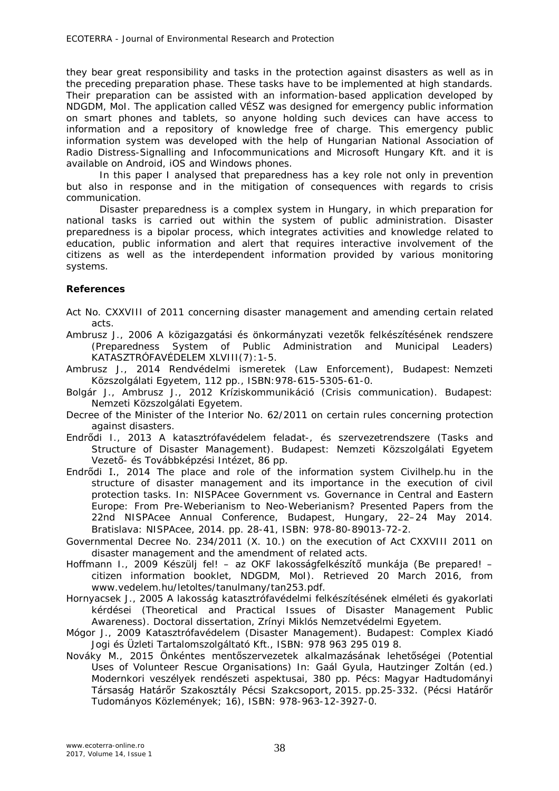they bear great responsibility and tasks in the protection against disasters as well as in the preceding preparation phase. These tasks have to be implemented at high standards. Their preparation can be assisted with an information-based application developed by NDGDM, MoI. The application called VÉSZ was designed for emergency public information on smart phones and tablets, so anyone holding such devices can have access to information and a repository of knowledge free of charge. This emergency public information system was developed with the help of Hungarian National Association of Radio Distress-Signalling and Infocommunications and Microsoft Hungary Kft. and it is available on Android, iOS and Windows phones.

In this paper I analysed that preparedness has a key role not only in prevention but also in response and in the mitigation of consequences with regards to crisis communication.

Disaster preparedness is a complex system in Hungary, in which preparation for national tasks is carried out within the system of public administration. Disaster preparedness is a bipolar process, which integrates activities and knowledge related to education, public information and alert that requires interactive involvement of the citizens as well as the interdependent information provided by various monitoring systems.

## **References**

- Act No. CXXVIII of 2011 concerning disaster management and amending certain related acts.
- Ambrusz J., 2006 A közigazgatási és önkormányzati vezetők felkészítésének rendszere (Preparedness System of Public Administration and Municipal Leaders) KATASZTRÓFAVÉDELEM XLVIII(7):1-5.
- Ambrusz J., 2014 Rendvédelmi ismeretek (Law Enforcement), Budapest: Nemzeti Közszolgálati Egyetem, 112 pp., ISBN:978-615-5305-61-0.
- Bolgár J., Ambrusz J., 2012 Kríziskommunikáció (Crisis communication). Budapest: Nemzeti Közszolgálati Egyetem.
- Decree of the Minister of the Interior No. 62/2011 on certain rules concerning protection against disasters.
- Endrődi I., 2013 A katasztrófavédelem feladat-, és szervezetrendszere (Tasks and Structure of Disaster Management). Budapest: Nemzeti Közszolgálati Egyetem Vezető- és Továbbképzési Intézet, 86 pp.
- Endrődi I., 2014 The place and role of the information system Civilhelp.hu in the structure of disaster management and its importance in the execution of civil protection tasks. In: NISPAcee Government vs. Governance in Central and Eastern Europe: From Pre-Weberianism to Neo-Weberianism? Presented Papers from the 22nd NISPAcee Annual Conference, Budapest, Hungary, 22–24 May 2014. Bratislava: NISPAcee, 2014. pp. 28-41, ISBN: 978-80-89013-72-2.
- Governmental Decree No. 234/2011 (X. 10.) on the execution of Act CXXVIII 2011 on disaster management and the amendment of related acts.
- Hoffmann I., 2009 Készülj fel! az OKF lakosságfelkészítő munkája (Be prepared! citizen information booklet, NDGDM, MoI). Retrieved 20 March 2016, from www.vedelem.hu/letoltes/tanulmany/tan253.pdf.
- Hornyacsek J., 2005 A lakosság katasztrófavédelmi felkészítésének elméleti és gyakorlati kérdései (Theoretical and Practical Issues of Disaster Management Public Awareness). Doctoral dissertation, Zrínyi Miklós Nemzetvédelmi Egyetem.
- Mógor J., 2009 Katasztrófavédelem (Disaster Management). Budapest: Complex Kiadó Jogi és Üzleti Tartalomszolgáltató Kft., ISBN: 978 963 295 019 8.
- Nováky M., 2015 Önkéntes mentőszervezetek alkalmazásának lehetőségei (Potential Uses of Volunteer Rescue Organisations) In: Gaál Gyula, Hautzinger Zoltán (ed.) Modernkori veszélyek rendészeti aspektusai, 380 pp. Pécs: Magyar Hadtudományi Társaság Határőr Szakosztály Pécsi Szakcsoport, 2015. pp.25-332. (Pécsi Határőr Tudományos Közlemények; 16), ISBN: 978-963-12-3927-0.